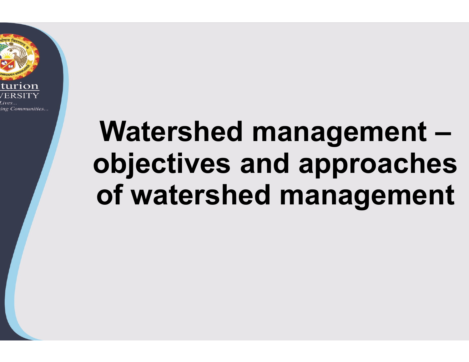

# Watershed management –objectives and approaches of watershed management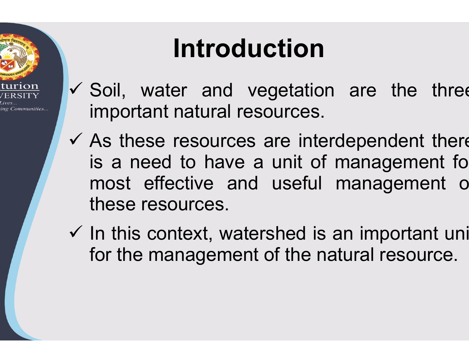

# Introduction

- **Introduction**<br>
v Soil, water and vegetation are t<br>
important natural resources. **Introduction**<br>Soil, water and vegetation an<br>important natural resources.<br>As these resources are interdep **uction**<br>vegetation are the threen<br>esources. important natural resources.
- **Introduction**<br>  $\checkmark$  Soil, water and vegetation<br>
important natural resources.<br>  $\checkmark$  As these resources are interd<br>
is a need to have a unit of n<br>
most effective and useful n **Introduction**<br>Soil, water and vegetation are<br>important natural resources.<br>As these resources are interdepe<br>is a need to have a unit of mana<br>most effective and useful mana most effective and useful management of Soil, water and vegetation<br>important natural resources.<br>As these resources are inter<br>is a need to have a unit of<br>most effective and useful<br>these resources.<br>In this context, watershed is a  $\checkmark$  Soil, water and vegetation are therefore interdependent is a need to have a unit of manage most effective and useful manage these resources.<br> $\checkmark$  In this context, watershed is an import for the management of the na important natural resource<br>As these resources are in<br>is a need to have a unit<br>most effective and usefi<br>these resources.<br>In this context, watershed<br>for the management of the **ction**<br>experistion are the three<br>ources.<br>are interdependent there<br>unit of management fo **action**<br> **Action**<br> **Accepted Management**<br> **Accepted management** for<br> **Accepted management** for<br> **Accepted management** of on are the three<br>
s.<br>
terdependent there<br>
of management fo<br>
is an important uni<br>
natural resource. ources.<br>are interdependent there<br>unit of management fo<br>useful management o<br>shed is an important uni<br>of the natural resource.
-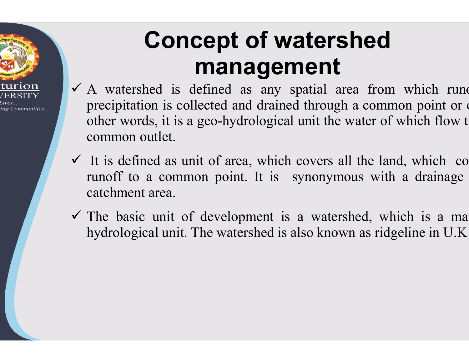

## Concept of watershed management

- **Concept of watershed management**<br> **A** watershed is defined as any spatial area from precipitation is collected and drained through a com other words, it is a geo-hydrological unit the water of **Concept of watersheror Concept of watersheror management**<br>A watershed is defined as any spatial area f<br>precipitation is collected and drained through a cother words, it is a geo-hydrological unit the wate<br>common outlet. **Concept of watershed management**<br>A watershed is defined as any spatial area from<br>precipitation is collected and drained through a commother words, it is a geo-hydrological unit the water of<br>common outlet.<br>It is defined as **Concept of water**<br> **Concept of water**<br> **Concept of water**<br> **Concept of water**<br> **Concept of water**<br> **Concept of a sumplementary spatial**<br>
precipitation is collected and drained throu<br>
other words, it is a geo-hydrological **Concept of watershed**<br> **Concept of watershed**<br> **Concept of an area from**<br> **Concept of a** as any spatial area from<br>
precipitation is collected and drained through a commo<br>
other words, it is a geo-hydrological unit the wa **COTTCEPT OF WATERS**<br> **COTTCEPT OF WATERS**<br>
A watershed is defined as any spatial a<br>
precipitation is collected and drained through<br>
other words, it is a geo-hydrological unit the<br>
common outlet.<br>
It is defined as unit of **THEITEITE**<br>  $\checkmark$  A watershed is defined as any spatial area five<br>
precipitation is collected and drained through a co<br>
other words, it is a geo-hydrological unit the water<br>
common outlet.<br>  $\checkmark$  It is defined as unit of A watershed is defined as any spatial area from<br>precipitation is collected and drained through a com<br>other words, it is a geo-hydrological unit the water c<br>common outlet.<br>It is defined as unit of area, which covers all the **of watershed**<br> **agement**<br>
as any spatial area from which runo<br>
as any spatial area from which runo<br>
drained through a common point or of<br>
drological unit the water of which flow t **f watershed**<br>**gement**<br>any spatial area from which rund<br>drained through a common point or outlets<br>logical unit the water of which flow t **of watershed**<br>**anagement**<br>and as any spatial area from which rund<br>d and drained through a common point or of<br>hydrological unit the water of which flow t **Solution Covers and Survey Covers**<br>any spatial area from which rund<br>drained through a common point or dogical unit the water of which flow t<br>which covers all the land, which co<br>lt is synonymous with a drainage **ITTETTE:**<br>spatial area from which rund<br>ned through a common point or d<br>rad unit the water of which flow t<br>ch covers all the land, which co<br>synonymous with a drainage<br>is a watershed, which is a ma<br>s also known as ridgeline is a from which rund<br>
included through a common point or or<br>
cal unit the water of which flow t<br>
ch covers all the land, which co<br>
synonymous with a drainage<br>
is a watershed, which is a ma<br>
is also known as ridgeline in U.
- runoff to a common point. It is synonymous with a drainage
-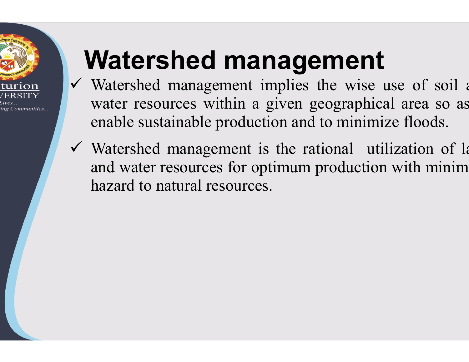

# Watershed management

- V Watershed management implies the wise use of soil a **Watershed managen**<br>Watershed management implies the<br>water resources within a given geogenable sustainable production and to **Watershed management**<br>Watershed management implies the wise<br>water resources within a given geographi<br>enable sustainable production and to minim<br>Watershed management is the rational u **nagement**<br>implies the wise use of soil and<br>given geographical area so as<br>tion and to minimize floods. **anagement**<br>implies the wise use of soil a<br>a given geographical area so as<br>action and to minimize floods. **gement**<br>ies the wise use of soil a<br>en geographical area so as<br>and to minimize floods.<br>e rational utilization of la **nagement**<br>implies the wise use of soil a<br>i given geographical area so as<br>tion and to minimize floods.<br>is the rational utilization of la<br>ptimum production with minim<br>es.
- $\checkmark$  Watershed management is the rational utilization of la **Watershed management implies the water resources within a given geogra enable sustainable production and to mi Watershed management is the rational and water resources for optimum produ hazard to natural resources.** hazard to natural resources. **anagement**<br> *i* implies the wise use of soil a<br> *a* given geographical area so as<br>
uction and to minimize floods.<br>
is the rational utilization of la<br>
optimum production with minim<br>
ces.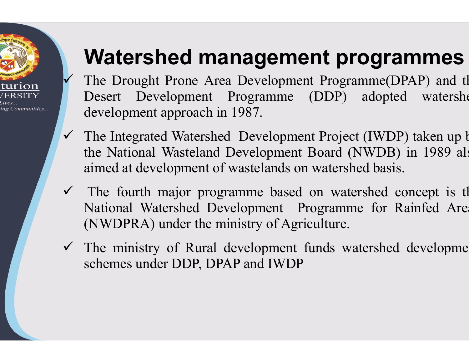

#### Watershed management programmes

- Watershed management program<br>The Drought Prone Area Development Programme(D<br>Desert Development Programme (DDP) adopted<br>evelopment approach in 1987. **Watershed management programm<br>The Drought Prone Area Development Programm<br>Desert Development Programme (DDP) ad<br>development approach in 1987.<br>The Integrated Watershed Development Project (I) Watershed management program<br>The Drought Prone Area Development Programme(DP,<br>Desert Development Programme (DDP) adopted<br>development approach in 1987.<br>The Integrated Watershed Development Project (IWDP)<br>the National Waste nagement programmes**<br>Development Programme(DPAP) and the<br>programme (DDP) adopted watershe<br>987. **nt programmes**<br>
(DDP) adopted watershe<br>
(DDP) adopted watershe<br>
(Froiect (IWDP) taken un b
- Watershed management pro<br>The Drought Prone Area Development Program<br>Desert Development Programme (DDP) a<br>development approach in 1987.<br>The Integrated Watershed Development Project (<br>the National Wasteland Development Board **Watershed management pr**<br>The Drought Prone Area Development Progra<br>Desert Development Programme (DDP)<br>development approach in 1987.<br>The Integrated Watershed Development Projec<br>the National Wasteland Development Board (lai **Watershed management program**<br>The Drought Prone Area Development Programme(DP<br>Desert Development Programme (DDP) adopted<br>development approach in 1987.<br>The Integrated Watershed Development Project (IWDP)<br>aimed at developme **nagement programmes**<br>
Development Programme(DPAP) and the<br>
Programme (DDP) adopted watershe<br>
1987.<br>
Development Project (IWDP) taken up b<br>
Development Board (NWDB) in 1989 als<br>
wastelands on watershed basis. **nt programmes**<br>the Programme (DPAP) and the (DDP) adopted watershes<br>nt Project (IWDP) taken up b<br>Board (NWDB) in 1989 also<br>watershed basis. **ent programmes**<br>
nent Programme(DPAP) and the<br>
(DDP) adopted watershe<br>
nent Project (IWDP) taken up b<br>
nt Board (NWDB) in 1989 als<br>
on watershed basis.<br>
Exporance for Rainfed Ares **ement programmes**<br>opment Programme(DPAP) and th<br>nme (DDP) adopted watershe<br>lopment Project (IWDP) taken up b<br>oment Board (NWDB) in 1989 als<br>nds on watershed basis.<br>based on watershed concept is the<br>nt Programme for Rainfe **ETIL Programme** (DPAP) and the (DDP) adopted watershes<br>
ent Project (IWDP) taken up b<br>
t Board (NWDB) in 1989 als<br>
on watershed basis.<br>
d on watershed concept is the Programme for Rainfed Area<br>
riculture.<br>
finds watershed Programme (DPAP) and the<br>mme (DDP) adopted watershe<br>elopment Project (IWDP) taken up b<br>pment Board (NWDB) in 1989 als<br>ands on watershed basis.<br>based on watershed concept is the<br>ent Programme for Rainfed Area<br>of Agriculture (DDF) adopted watershelm<br>the Project (IWDP) taken up b<br>Board (NWDB) in 1989 als<br>n watershed basis.<br>on watershed concept is the<br>rogramme for Rainfed Area<br>iculture.<br>funds watershed developme
- **Watershed management p**<br>The Drought Prone Area Development Progr<br>Desert Development Programme (DDP)<br>development approach in 1987.<br>The Integrated Watershed Development Projec<br>the National Wasteland Development Board (<br>aim **The Drought Prone Area Development Profilering CD**<br>The Drought Prone Area Development Pro<br>development approach in 1987.<br>The Integrated Watershed Development Pro<br>the National Wasteland Development Boar<br>aimed at development The Drought Prone Area Development Programme<br>
Desert Development Programme (DDP) adop<br>
development approach in 1987.<br>
The Integrated Watershed Development Project (IWI<br>
the National Wasteland Development Board (NWDI<br>
aimed Desert Development Programme (DDF) and<br>development approach in 1987.<br>The Integrated Watershed Development Project (IV<br>the National Wasteland Development Board (NWI<br>aimed at development of wastelands on watershed b<br> $\checkmark$  Th development approach in 1987.<br>The Integrated Watershed Development Project (the National Wasteland Development Board (N'<br>aimed at development of wastelands on watershed<br>The fourth major programme based on waters<br>National W Franch Project (IWDP) taken up<br>velopment Board (NWDB) in 1989 a<br>stelands on watershed basis.<br>nme based on watershed concept is<br>ppment Programme for Rainfed Ar<br>stry of Agriculture.<br>elopment funds watershed developm<br>and IWDP
-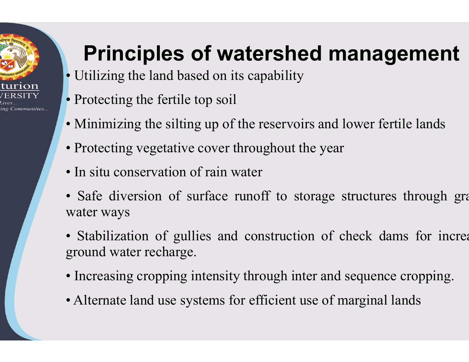

# Principles of watershed management **Principles of watershed manage**<br>• Utilizing the land based on its capability<br>• Protecting the fertile top soil **Principles of watershed manasy • Utilizing the land based on its capability • Protecting the fertile top soil • Minimizing the silting up of the reservoirs and lower fe Principles of watershed manage**<br>• Utilizing the land based on its capability<br>• Protecting the fertile top soil<br>• Minimizing the silting up of the reservoirs and lower fert<br>• Protecting vegetative cover throughout the year **Principles of watershed manage.**<br>
• Utilizing the land based on its capability<br>
• Protecting the fertile top soil<br>
• Minimizing the silting up of the reservoirs and lower fer<br>
• Protecting vegetative cover throughout the **atershed management**<br>is capability<br>the reservoirs and lower fertile lands<br>hroughout the year **ed management**<br>y<br>irs and lower fertile lands<br>the year

- Utilizing the land based on its capability
- 
- 
- 
- 
- **Principles of watershed manage**<br>• Utilizing the land based on its capability<br>• Protecting the fertile top soil<br>• Minimizing the silting up of the reservoirs and lower fert<br>• Protecting vegetative cover throughout the year **Principles of watershed mana**<br>• Utilizing the land based on its capability<br>• Protecting the fertile top soil<br>• Minimizing the silting up of the reservoirs and lower in<br>• Protecting vegetative cover throughout the year<br>• I • Utilizing the land based on its capabilit<br>• Protecting the fertile top soil<br>• Minimizing the silting up of the reserve<br>• Protecting vegetative cover throughout<br>• In situ conservation of rain water<br>• Safe diversion of sur **atershed management**<br>ts capability<br><br>the reservoirs and lower fertile lands<br>throughout the year<br>water<br>runoff to storage structures through grass<br>deconstruction of check dams for increa
- Protecting the fertile top soil<br>
 Minimizing the silting up of the reservoirs and lowe<br>
 Protecting vegetative cover throughout the year<br>
 In situ conservation of rain water<br>
 Safe diversion of surface runoff to stor • Minimizing the silting up of the reservoirs and<br>• Protecting vegetative cover throughout the yea<br>• In situ conservation of rain water<br>• Safe diversion of surface runoff to storage<br>water ways<br>• Stabilization of gullies an • In situ conservative cover throughout the ye<br>• In situ conservation of rain water<br>• Safe diversion of surface runoff to storage<br>water ways<br>• Stabilization of gullies and construction of<br>ground water recharge.<br>• Increasin • In situ conservation of rain water<br>• Safe diversion of surface runoff to storage struct<br>water ways<br>• Stabilization of gullies and construction of check<br>ground water recharge.<br>• Increasing cropping intensity through inter The reservoirs and lower fertile lands<br>
roughout the year<br>
iter<br>
inoff to storage structures through graphs<br>
construction of check dams for increasing<br>
through inter and sequence cropping the reservoirs and fower fertific fands<br>roughout the year<br>ater<br>moff to storage structures through gra<br>construction of check dams for increa<br>through inter and sequence cropping.<br>efficient use of marginal lands bughout the year<br>ter<br>noff to storage structures through gra<br>construction of check dams for increa<br>hrough inter and sequence cropping.<br>efficient use of marginal lands
- 
-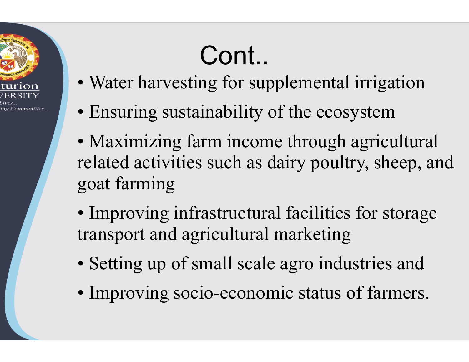

# Cont..

- Water harvesting for supplemental irrigation
- Ensuring sustainability of the ecosystem
- Maximizing farm income through agricultural related activities such as dairy poultry, sheep, and goat farming The excession<br>although agricultural<br>although sheep, and<br>facilities for storage<br>arketing<br>agro industries and<br>ic status of farmers.
- Improving infrastructural facilities for storage transport and agricultural marketing
- Setting up of small scale agro industries and
- Improving socio-economic status of farmers.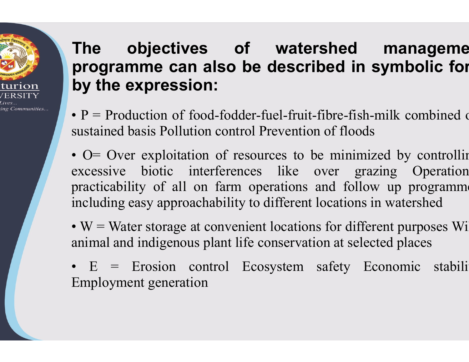### The objectives of water<br>programme.can.also.be.descrik<br>by.the.expression: The objectives of watershed<br>programme can also be described in<br>by the expression: The objectives of water<br>programme can also be descril<br>by the expression:<br>•  $P = \text{Production of food-fodder-fuel-fruit-1}$ **The objectives of watershed<br>programme can also be described in sy<br>by the expression:<br>• P = Production of food-fodder-fuel-fruit-fibre-fish-m<br>sustained basis Pollution control Prevention of floods<br>• O = Over exploitation** The objectives of watershed<br>programme can also be described if by the expression:<br> $\cdot$  P = Production of food-fodder-fuel-fruit-fibre-f<br>sustained basis Pollution control Prevention of flo<br> $\cdot$  O = Over exploitation of res **The objectives of watershed may**<br>**programme can also be described in symbly the expression:**<br> $\cdot$  P = Production of food-fodder-fuel-fruit-fibre-fish-milk c<br>sustained basis Pollution control Prevention of floods<br> $\cdot$  O= objectives of watershed manageme of watershed manageme<br>be described in symbolic for of watershed manageme<br>so be described in symbolic for<br>fodder-fuel-fruit-fibre-fish-milk combined ontrol Prevention of floods<br>of resources to be minimized by controlline **watershed manageme**<br> **described in symbolic for**<br>
Fitel-fruit-fibre-fish-milk combined of<br>
Prevention of floods<br>
urces to be minimized by controlling<br>
ike over grazing Operation **Example 15 Altershed manageme**<br> **Cribed in symbolic for**<br>
intertive-fish-milk combined ontion of floods<br>
to be minimized by controlline<br>
over grazing Operation<br>
ons and follow up programme

ing Communities...

- **The objectives of watersh**<br>**programme can also be describe**<br>**by the expression:**<br> $\cdot$  P = Production of food-fodder-fuel-fruit-fibi<br>sustained basis Pollution control Prevention of<br> $\cdot$  O = Over exploitation of resources practicability of all on farm operations and follow up programme **The expression:**<br> **Programme can also be describe**<br> **by the expression:**<br>  $\cdot$  P = Production of food-fodder-fuel-fruit-fibr<br>
sustained basis Pollution control Prevention of<br>  $\cdot$  O = Over exploitation of resources to be **by the expression:**<br>
• P = Production of food-fodder-fuel-fruit-fibre-fish-m<br>
sustained basis Pollution control Prevention of floods<br>
• O = Over exploitation of resources to be minimize<br>
excessive biotic interferences li • P = Production of food-fodder-fuel-fruit-fibre-fish-milk<br>sustained basis Pollution control Prevention of floods<br>• O = Over exploitation of resources to be minimized<br>excessive biotic interferences like over grazing<br>pract •  $F =$  From From Equation of 1000-1001 Frevention of floods<br>
• O = Over exploitation of resources to be minimize<br>
excessive biotic interferences like over grazi<br>
practicability of all on farm operations and follow<br>
includ • O= Over exploitation of resources to be m<br>excessive biotic interferences like over<br>practicability of all on farm operations and<br>including easy approachability to different locat<br>• W = Water storage at convenient locatio **watershed manageme**<br> **escribed in symbolic for**<br> **escribed in symbolic for**<br> **escribed in symbolic for**<br>
<br> **estable over grazing Operation**<br>
<br> **like over grazing Operation**<br> **different locations in watershed The described in symbolic for**<br>the different of floods<br>ources to be minimized by controllines<br>in the over grazing Operation<br>operations and follow up programme<br>to different locations in watershed<br>ent locations for differen lel-fruit-fibre-fish-milk combined differention of floods<br>ces to be minimized by controllin<br>like over grazing Operation<br>rations and follow up programme<br>ifferent locations in watershed<br>locations for different purposes Wi<br>ns Ider-fuel-fruit-fibre-fish-milk combined a<br>trol Prevention of floods<br>resources to be minimized by controllir<br>nnces like over grazing Operation<br>in operations and follow up programme<br>ty to different locations in watershed<br>en Ecosystem safety Economic stability<br>Ecosystem safety and the minimized by controllin<br>neces like over grazing Operation<br>operations and follow up programme<br>v to different locations in watershed<br>nient locations for different
- 
-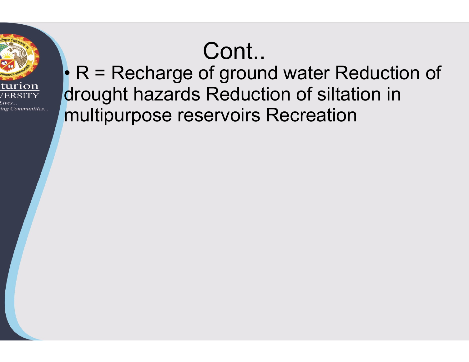# Cont..



 $\cdot$  R = Recharge of ground water Reduction of drought hazards Reduction of siltation in multipurpose reservoirs Recreation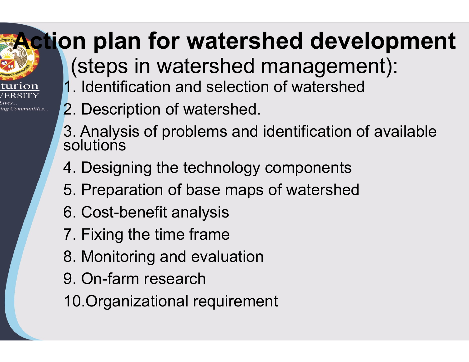# Action plan for watershed development

(steps in watershed management):

- 1. Identification and selection of watershed
- 2. Description of watershed.

ng Communities..

- 3. Analysis of problems and identification of available solutions
- 4. Designing the technology components
- 5. Preparation of base maps of watershed
- 6. Cost-benefit analysis
- 7. Fixing the time frame
- 8. Monitoring and evaluation
- 9. On-farm research
- 10.Organizational requirement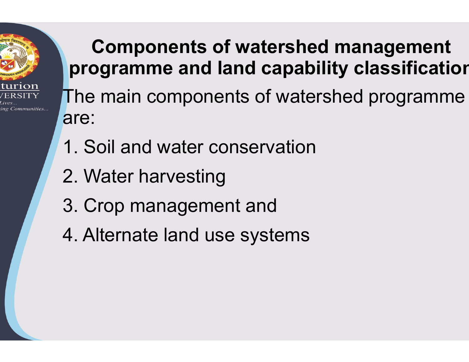

#### Components of watershed management programme and land capability classification

The main components of watershed programme are:

- 1. Soil and water conservation
- 2. Water harvesting
- 3. Crop management and
- 4. Alternate land use systems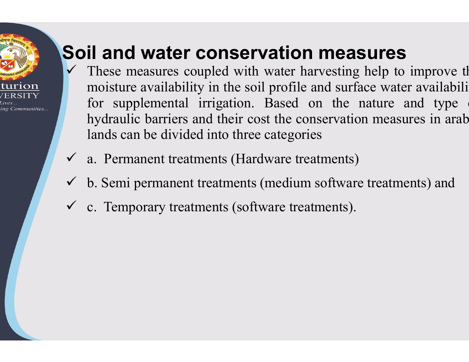# ng Communities.

#### Soil and water conservation measures

- **Soil and water conservation measu**<br>
These measures coupled with water harvesting he<br>
moisture availability in the soil profile and surface<br>
for supplemental irrigation. Based on the nature **il and water conservation measures**<br>These measures coupled with water harvesting help to<br>moisture availability in the soil profile and surface wate<br>for supplemental irrigation. Based on the nature<br>hydraulic barriers and t **il and water conservation me**<br>These measures coupled with water harvest<br>moisture availability in the soil profile and s<br>for supplemental irrigation. Based on th<br>hydraulic barriers and their cost the conservi-<br>lands can be **il and water conservation measur**<br>These measures coupled with water harvesting help<br>moisture availability in the soil profile and surface w<br>for supplemental irrigation. Based on the natur<br>hydraulic barriers and their cost **il and water conservation measures**<br>These measures coupled with water harvesting help to<br>moisture availability in the soil profile and surface wat<br>for supplemental irrigation. Based on the nature<br>hydraulic barriers and th **Soil and water conservation measured Soil and water conservation measured**  $\checkmark$  **These measures coupled with water harvesting h moisture availability in the soil profile and surface for supplemental irrigation. Based on t** These measures coupled with water harvesting<br>  $\checkmark$  These measures coupled with water harvesting<br>
for supplemental irrigation. Based on the n<br>
hydraulic barriers and their cost the conservation<br>
lands can be divided into **Ation measures**<br>water harvesting help to improve the<br>profile and surface water availabili<br>Based on the nature and type **Example 18 Server 10 Server 10**<br>ith water harvesting help to improve th<br>soil profile and surface water availabili<br>in. Based on the nature and type<br>cost the conservation measures in arab **Conservation measures**<br>upled with water harvesting help to improve the<br>y in the soil profile and surface water availabili<br>irrigation. Based on the nature and type<br>nd their cost the conservation measures in arab<br>d into thr **Example 18 The conservation measures**<br>th water harvesting help to improve the<br>soil profile and surface water availabili<br>in. Based on the nature and type<br>cost the conservation measures in arab<br>ee categories lands can be divided into three categories
- $\checkmark$  a. Permanent treatments (Hardware treatments)
- b. Semi permanent treatments (medium software treatments) and
- $\checkmark$  c. Temporary treatments (software treatments).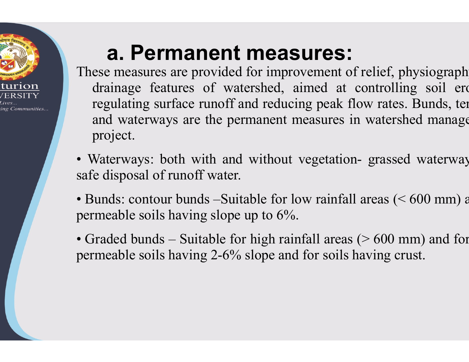

#### a. Permanent measures:

**a. Permanent measures:**<br>These measures are provided for improvement of r<br>drainage features of watershed, aimed at co<br>regulating surface runoff and reducing peak flo **a. Permanent measures:**<br>ese measures are provided for improvement of relief,<br>drainage features of watershed, aimed at controll<br>regulating surface runoff and reducing peak flow rate<br>and waterways are the permanent measures **a. Permanent measures**<br>ese measures are provided for improvement of<br>drainage features of watershed, aimed at<br>regulating surface runoff and reducing peak<br>and waterways are the permanent measures<br>project. **a. Permanent measures:**<br>ese measures are provided for improvement of relief, drainage features of watershed, aimed at controll<br>regulating surface runoff and reducing peak flow rate<br>and waterways are the permanent measures project. **a. Permanent measures:**<br>These measures are provided for improvement of relie drainage features of watershed, aimed at contregulating surface runoff and reducing peak flow rand waterways are the permanent measures in wat p **a. Permanent measures:**<br>These measures are provided for improvement of relief, pl<br>drainage features of watershed, aimed at controllin<br>regulating surface runoff and reducing peak flow rates.<br>and waterways are the permanen These measures are provided for improvement of i<br>drainage features of watershed, aimed at co<br>regulating surface runoff and reducing peak flo<br>and waterways are the permanent measures in<br>project.<br>Waterways: both with and wi manage reatures of watershed, anned at com<br>regulating surface runoff and reducing peak flow<br>and waterways are the permanent measures in w<br>project.<br>• Waterways: both with and without vegetation-<br>gsafe disposal of runoff wa regulating surface funori and reducing peak flow rates<br>and waterways are the permanent measures in watersl<br>project.<br>• Waterways: both with and without vegetation- grasse<br>safe disposal of runoff water.<br>• Bunds: contour bund **measures:**<br>for improvement of relief, physiograph<br>ershed, aimed at controlling soil erd<br>nd reducing peak flow rates. Bunds, ter **SUITES:**<br>
ovement of relief, physiograph<br>
aimed at controlling soil erosing peak flow rates. Bunds, ten<br>
measures in watershed manage **measures:**<br>a for improvement of relief, physiograph<br>tershed, aimed at controlling soil erand reducing peak flow rates. Bunds, ter<br>ermanent measures in watershed manage **SUFES:**<br>
ovement of relief, physiograph<br>
aimed at controlling soil erd<br>
cing peak flow rates. Bunds, ten<br>
measures in watershed manage **measures:**<br>
for improvement of relief, physiograph<br>
rshed, aimed at controlling soil ere<br>
ind reducing peak flow rates. Bunds, ter<br>
manent measures in watershed manage<br>
without vegetation-grassed waterway<br>
ble for low rai **nt measures:**<br>ded for improvement of relief, physiograph<br>watershed, aimed at controlling soil erc<br>off and reducing peak flow rates. Bunds, ter<br>experiment measures in watershed manage<br>and without vegetation-grassed waterw for improvement of relief, physiograph<br>ershed, aimed at controlling soil erd<br>nd reducing peak flow rates. Bunds, termanent measures in watershed manage<br>without vegetation-grassed waterway<br>able for low rainfall areas (< 60 Fished, anned at controlling son erd<br>d reducing peak flow rates. Bunds, termanent measures in watershed manage<br>without vegetation-grassed waterway<br>ble for low rainfall areas (< 600 mm) a<br>p to  $6\%$ .<br>high rainfall areas (> T and reducing peak now rates. Bunds, ten<br>permanent measures in watershed manage<br>and without vegetation-grassed waterway<br>per.<br>itable for low rainfall areas (< 600 mm) a<br>pe up to 6%.<br>for high rainfall areas (> 600 mm) and f

- safe disposal of runoff water.
- 
-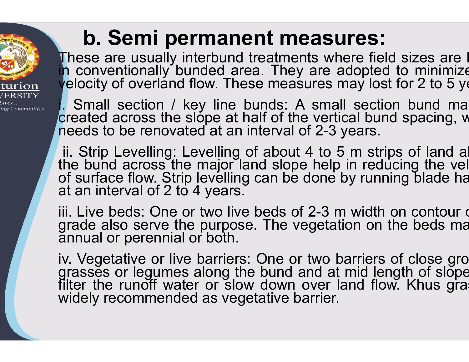#### b. Semi permanent measures:

ing Communities..

**b. Semi permanent measu**<br>These are usually interbund treatments wh<br>in conventionally bunded area. They are a<br>velocity of overland flow. These measures n **b. Semi permanent measure:**<br>These are usually interbund treatments where in conventionally bunded area. They are adop velocity of overland flow. These measures may it.<br>Small section / key line bunds: A small sexes **b. Semi permanent measures:**<br>These are usually interbund treatments where fie<br>in conventionally bunded area. They are adopte<br>velocity of overland flow. These measures may los<br>. Small section / key line bunds: A small sect **b. Semi permanent measures**<br>These are usually interbund treatments where fin<br>conventionally bunded area. They are adopte<br>yelocity of overland flow. These measures may low<br>Small section / key line bunds: A small sec<br>create **b. Semi permanent measures**<br>These are usually interbund treatments where fight conventionally bunded area. They are adopte<br>velocity of overland flow. These measures may lo<br>l. Small section / key line bunds: A small sect<br>c **b. Semi permanent measures:**<br>These are usually interbund treatments where field is<br>in conventionally bunded area. They are adopted to<br>yelocity of overland flow. These measures may lost for<br>created across the slope at half **nt measures:<br>treatments where field sizes are l<br>ea. They are adopted to minimize<br>se measures may lost for 2 to 5 ye nent measures:**<br>nd treatments where field sizes are l<br>area. They are adopted to minimize<br>hese measures may lost for 2 to 5 ye<br>e bunds: A small section bund ma **t measures:**<br>atments where field sizes are I<br>They are adopted to minimize<br>measures may lost for 2 to 5 ye<br>ds: A small section bund ma<br>of the vertical bund spacing, w **ent measures:**<br>I treatments where field sizes are I<br>rea. They are adopted to minimize<br>see measures may lost for 2 to 5 ye<br>bunds: A small section bund ma<br>half of the vertical bund spacing, w<br>interval of 2-3 years.<br>of about **ent measures:**<br>treatments where field sizes are I<br>ba. They are adopted to minimize<br>ise measures may lost for 2 to 5 ye<br>punds: A small section bund ma<br>half of the vertical bund spacing, w<br>interval of 2-3 years.<br>of about 4

**b. Semi permanent measuration**<br>These are usually interbund treatments wh<br>p conventionally bunded area. They are a<br>velocity of overland flow. These measures r<br>. Small section / key line bunds: A sma<br>created across the slop **b. Semi permanent measures:**<br>These are usually interbund treatments where field<br>in conventionally bunded area. They are adopted<br>velocity of overland flow. These measures may lost<br>. Small section / key line bunds: A small **D. SETTH PETTHATIETT THEASUTES.**<br>These are usually interbund treatments where field conventionally bunded area. They are adopted velocity of overland flow. These measures may los Small section / key line bunds: A small s in conventionally bunded area. They are adopted<br>velocity of overland flow. These measures may lost<br>locity of overland flow. These measures may lost<br>i. Small section / key line bunds: A small section<br>created across the slop velocity of overland flow. These measures may<br>velocity of overland flow. These measures may<br>created across the slope at half of the vertical t<br>needs to be renovated at an interval of 2-3 year<br>ii. Strip Levelling: Levelling Levely of overtaina now. These included of may to.<br>
Small section / key line bunds: A small section<br>
reeds to be renovated at an interval of 2-3 years.<br>
ii. Strip Levelling: Levelling of about 4 to 5 m strip<br>
the bund acro French Scotter in Scotter and Screated across the slope at half of the vertical<br>needs to be renovated at an interval of 2-3 yea<br>ii. Strip Levelling: Levelling of about 4 to 5 m<br>the bund across the major land slope help in<br> because actoss the step at hair or the C2-3 years.<br>
ii. Strip Levelling: Levelling of about 4 to 5 m stript<br>
the bund across the major land slope help in red<br>
of surface flow. Strip levelling can be done by runn<br>
at an int it is Strip Levelling: Levelling of about 4 to 5 m strips<br>the bund across the major land slope help in reduced surface flow. Strip levelling can be done by runnin<br>at an interval of 2 to 4 years.<br>iii. Live beds: One or two **ent measures:**<br>treatments where field sizes are I<br>ea. They are adopted to minimize<br>se measures may lost for 2 to 5 ye<br>bunds: A small section bund ma<br>nalf of the vertical bund spacing, w<br>interval of 2-3 years.<br>of about 4 t **ent measures:**<br>d treatments where field sizes are I<br>rea. They are adopted to minimize<br>ese measures may lost for 2 to 5 ye<br>bunds: A small section bund ma<br>half of the vertical bund spacing, w<br>interval of 2-3 years.<br>I of abo can be done by running blade ha years. a. They are adopted to minimize<br>a. They are adopted to minimize<br>e measures may lost for 2 to 5 ye<br>unds: A small section bund ma<br>alf of the vertical bund spacing, w<br>nterval of 2-3 years.<br>f about 4 to 5 m strips of land al<br>n purpose. They are dideptoded for 2 to 5 years<br>ow. These measures may lost for 2 to 5 years<br>of at an interval of 2-3 years.<br>welling of about 4 to 5 m strips of land al<br>major land slope help in reducing the vellevelling can The bund at mid spacing, whisterval of 2-3 years.<br>The bund at the bund at land slope help in reducing the velong can be done by running blade has.<br>S.<br>We beds of 2-3 m width on contour of section on the beds mate.<br>The veget down 4 to 5 m strips of land all<br>d slope help in reducing the vel<br>an be done by running blade ha<br>beds of 2-3 m width on contour of<br>The vegetation on the beds ma<br>One or two barriers of close gro<br>bund and at mid length of sl

ii. Strip Levelling: Levelling of about 4 to 5 m strip<br>the bund across the major land slope help in reduce<br>of surface flow. Strip levelling can be done by runnin<br>at an interval of 2 to 4 years.<br>iii. Live beds: One or two l filter the runoff water or slow down over land flow. Khus gra<br>widely recommended as vegetative barrier.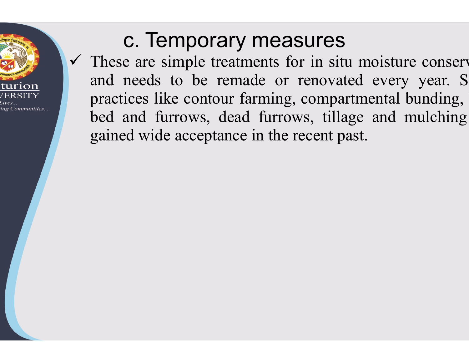

#### c. Temporary measures

**C. Temporary measures**<br> $\checkmark$  These are simple treatments for in situ<br>and needs to be remade or renovate<br>practices like contour farming, compart **C. Temporary measures**<br>These are simple treatments for in situ mois<br>and needs to be remade or renovated ev<br>practices like contour farming, compartment<br>bed and furrows, dead furrows, tillage an **C. Temporary measures**<br>These are simple treatments for in situ mo<br>and needs to be remade or renovated e<br>practices like contour farming, compartmen<br>bed and furrows, dead furrows, tillage a<br>gained wide acceptance in the rec **C. Temporary measures**<br>These are simple treatments for in situ<br>and needs to be remade or renovat<br>practices like contour farming, compar<br>bed and furrows, dead furrows, tilla<br>gained wide acceptance in the recent pa **C. Temporary measure**<br>These are simple treatments for in s<br>and needs to be remade or renoy<br>practices like contour farming, comp<br>bed and furrows, dead furrows, ti<br>gained wide acceptance in the recent **asures**<br>for in situ moisture conservent<br>fraction of every year. Se, compartmental bunding. **Examelers**<br>and the simple of the simple star and the simple star and the simple star and the simple star and the simple star and the simple star and the simple star and the simple star and the simple star and the simple s **The Multimum of the Survey Survey Survey Survey Survey Survey Survey Survey Survey Survey Survey Survey Survey Survey Survey Survey Survey Survey Survey Survey Survey Survey Survey Survey Survey Survey Survey Survey Surve neasures**<br>ents for in situ moisture conserve or renovated every year. S<br>ming, compartmental bunding,<br>furrows, tillage and mulching<br>n the recent past. measures<br>
ents for in situ moisture conserved<br>
de or renovated every year. S<br>
rming, compartmental bunding,<br>
furrows, tillage and mulching<br>
in the recent past.